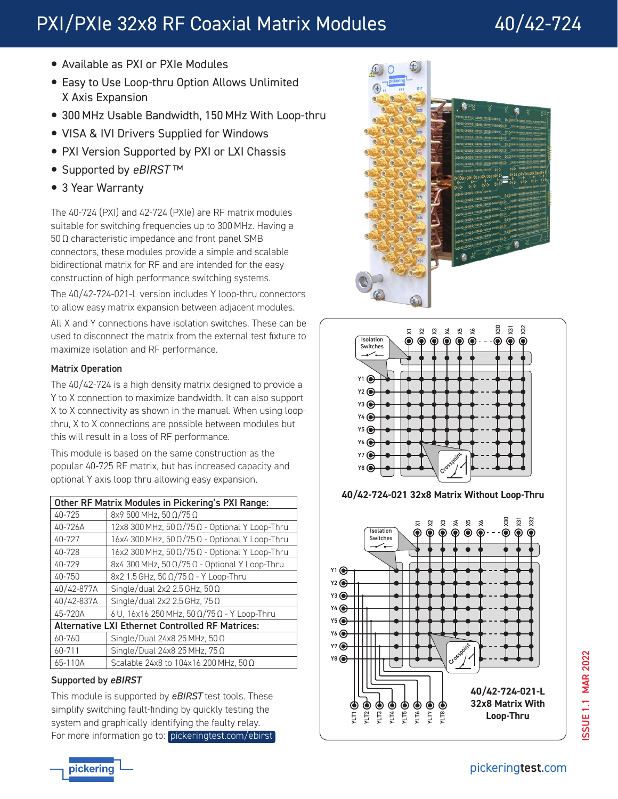# PXI/PXIe 32x8 RF Coaxial Matrix Modules 40/42-724

- Available as PXI or PXIe Modules
- Easy to Use Loop-thru Option Allows Unlimited X Axis Expansion
- 300 MHz Usable Bandwidth, 150 MHz With Loop-thru
- VISA & IVI Drivers Supplied for Windows
- PXI Version Supported by PXI or LXI Chassis
- Supported by eBIRST™
- 3 Year Warranty

The 40-724 (PXI) and 42-724 (PXIe) are RF matrix modules suitable for switching frequencies up to 300 MHz. Having a 50 Ω characteristic impedance and front panel SMB connectors, these modules provide a simple and scalable bidirectional matrix for RF and are intended for the easy construction of high performance switching systems.

The 40/42-724-021-L version includes Y loop-thru connectors to allow easy matrix expansion between adjacent modules.

All X and Y connections have isolation switches. These can be used to disconnect the matrix from the external test fixture to maximize isolation and RF performance.

# Matrix Operation

The 40/42-724 is a high density matrix designed to provide a Y to X connection to maximize bandwidth. It can also support X to X connectivity as shown in the manual. When using loopthru, X to X connections are possible between modules but this will result in a loss of RF performance.

This module is based on the same construction as the popular 40-725 RF matrix, but has increased capacity and optional Y axis loop thru allowing easy expansion.

| Other RF Matrix Modules in Pickering's PXI Range:       |                                                             |
|---------------------------------------------------------|-------------------------------------------------------------|
| 40-725                                                  | 8x9 500 MHz, 50 Ω/75 Ω                                      |
| 40-726A                                                 | $12x8300$ MHz, $50 \Omega/75 \Omega$ - Optional Y Loop-Thru |
| 40-727                                                  | 16x4 300 MHz, 50 Ω/75 Ω - Optional Y Loop-Thru              |
| 40-728                                                  | $16x2300$ MHz, $50 \Omega/75 \Omega$ - Optional Y Loop-Thru |
| 40-729                                                  | 8x4 300 MHz, 50 Ω/75 Ω - Optional Y Loop-Thru               |
| 40-750                                                  | 8x2 1.5 GHz, 50 Ω/75 Ω - Y Loop-Thru                        |
| 40/42-877A                                              | Single/dual 2x2 2.5 GHz, 50 $\Omega$                        |
| 40/42-837A                                              | Single/dual 2x2 2.5 GHz, 75 Ω                               |
| 45-720A                                                 | 6 U, 16x16 250 MHz, 50 Ω/75 Ω - Y Loop-Thru                 |
| <b>Alternative LXI Ethernet Controlled RF Matrices:</b> |                                                             |
| 60-760                                                  | Single/Dual 24x8 25 MHz, 50 $\Omega$                        |
| 60-711                                                  | Single/Dual 24x8 25 MHz, $75 \Omega$                        |
| 65-110A                                                 | Scalable 24x8 to 104x16 200 MHz, 50 Ω                       |

# Supported by eBIRST

This module is supported by *eBIRST* test tools. These simplify switching fault-finding by quickly testing the system and graphically identifying the faulty relay. For more information go to: [pickeringtest.com/ebirst](http://www.pickeringtest.com/ebirst)





**40/42-724-021 32x8 Matrix Without Loop-Thru**



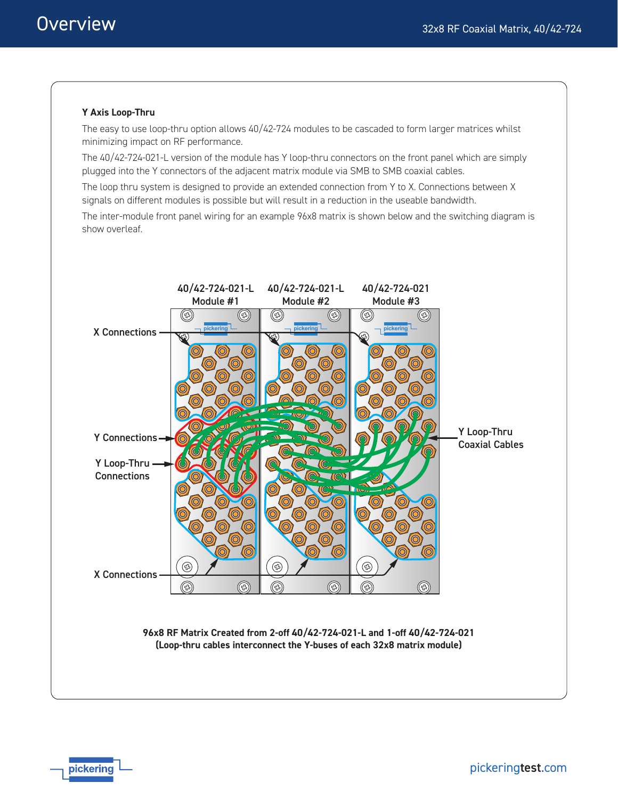# **Y Axis Loop-Thru**

The easy to use loop-thru option allows 40/42-724 modules to be cascaded to form larger matrices whilst minimizing impact on RF performance.

The 40/42-724-021-L version of the module has Y loop-thru connectors on the front panel which are simply plugged into the Y connectors of the adjacent matrix module via SMB to SMB coaxial cables.

The loop thru system is designed to provide an extended connection from Y to X. Connections between X signals on different modules is possible but will result in a reduction in the useable bandwidth.

The inter-module front panel wiring for an example 96x8 matrix is shown below and the switching diagram is show overleaf.

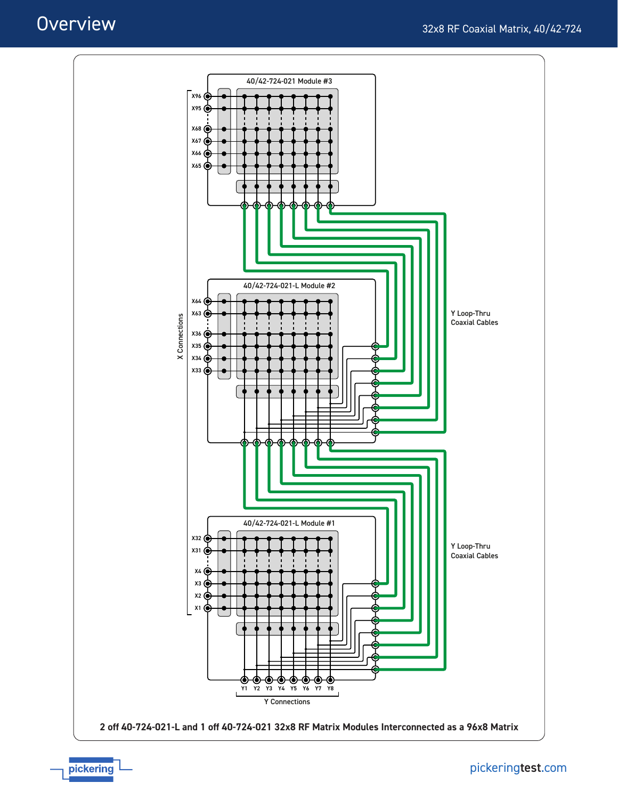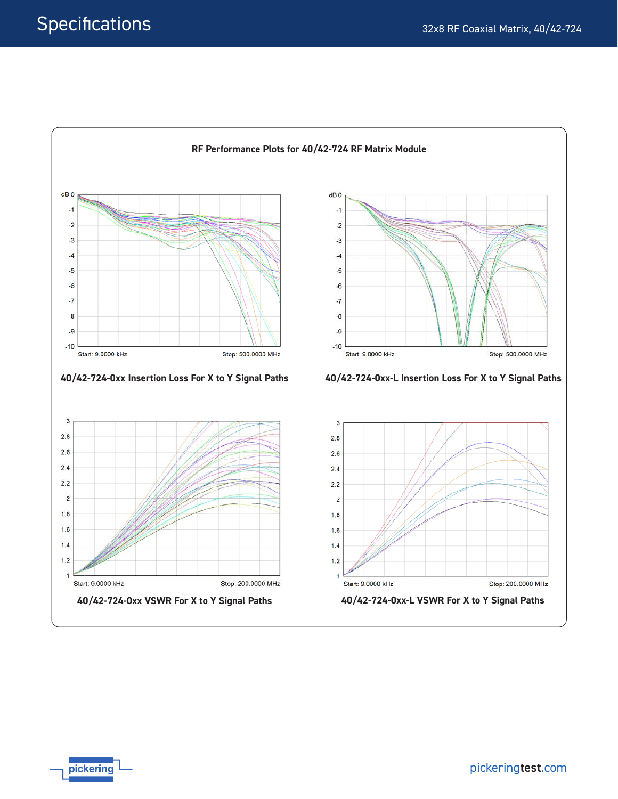

pickering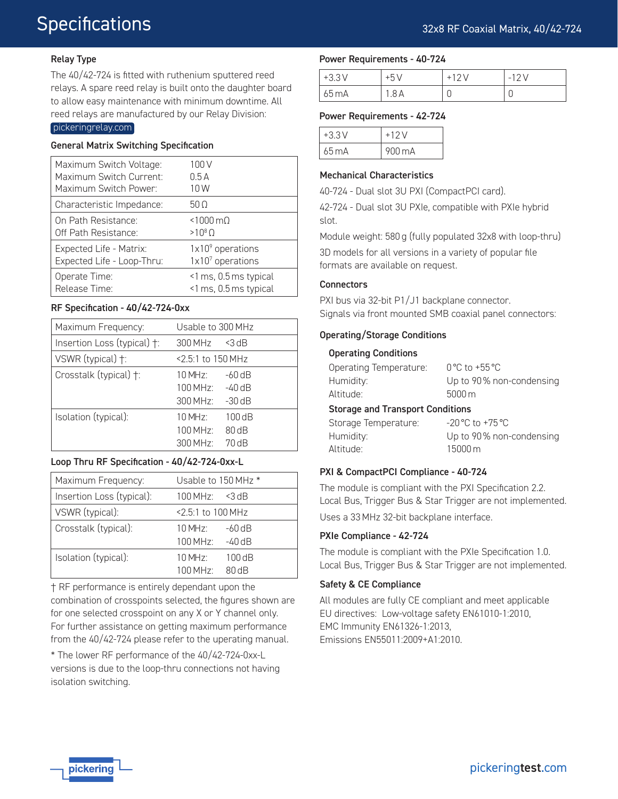# **Specifications**

# Relay Type

The 40/42-724 is fitted with ruthenium sputtered reed relays. A spare reed relay is built onto the daughter board to allow easy maintenance with minimum downtime. All reed relays are manufactured by our Relay Division:

### [pickeringrelay.com](http://www.pickeringrelay.com)

#### General Matrix Switching Specification

| Maximum Switch Voltage:    | 100 V                 |
|----------------------------|-----------------------|
| Maximum Switch Current:    | 0.5A                  |
| Maximum Switch Power:      | 10W                   |
| Characteristic Impedance:  | 50 O                  |
| On Path Resistance:        | $< 1000 \,\mathrm{m}$ |
| Off Path Resistance:       | $>10^8$ $\Omega$      |
| Expected Life - Matrix:    | $1x109$ operations    |
| Expected Life - Loop-Thru: | 1x107 operations      |
| Operate Time:              | <1 ms, 0.5 ms typical |
| Release Time:              | <1 ms, 0.5 ms typical |

| Maximum Frequency:          | Usable to 300 MHz                   |  |
|-----------------------------|-------------------------------------|--|
| Insertion Loss (typical) †: | $300$ MHz<br>$<$ 3 dB               |  |
| VSWR (typical) +:           | <2.5:1 to 150 MHz                   |  |
| Crosstalk (typical) +:      | $-60$ dB<br>$10$ MH <sub>7</sub> .  |  |
|                             | $100$ MH <sub>7</sub> .<br>$-40$ dB |  |
|                             | $300$ MHz $\cdot$<br>$-30$ dB       |  |
| Isolation (typical):        | 100dB<br>$10$ MH <sub>7</sub> .     |  |
|                             | 80 dB<br>$100$ MH <sub>7</sub>      |  |
|                             | 70 dB<br>$300$ MH <sub>7</sub>      |  |

#### Loop Thru RF Specification - 40/42-724-0xx-L

| Maximum Frequency:        | Usable to 150 MHz *               |  |
|---------------------------|-----------------------------------|--|
| Insertion Loss (typical): | $100$ MHz:<br>$<$ 3 dB            |  |
| VSWR (typical):           | <2.5:1 to 100 MHz                 |  |
| Crosstalk (typical):      | $10$ MH <sub>7</sub><br>$-60$ dB  |  |
|                           | $100$ MH <sub>7</sub><br>$-40$ dB |  |
| Isolation (typical):      | $10$ MH <sub>7</sub> .<br>100dB   |  |
|                           | 80 dB<br>$100$ MHz:               |  |

† RF performance is entirely dependant upon the combination of crosspoints selected, the figures shown are for one selected crosspoint on any X or Y channel only. For further assistance on getting maximum performance from the 40/42-724 please refer to the uperating manual.

\* The lower RF performance of the 40/42-724-0xx-L versions is due to the loop-thru connections not having isolation switching.

#### Power Requirements - 40-724

| $+3.3V$ | $+5'$ | $-12V$ |
|---------|-------|--------|
| 65 mA   | .8 A  | U      |

#### Power Requirements - 42-724

| $+3.3V$ | $+12V$ |
|---------|--------|
| 65 m A  | 900 mA |

#### Mechanical Characteristics

40-724 - Dual slot 3U PXI (CompactPCI card).

42-724 - Dual slot 3U PXIe, compatible with PXIe hybrid slot.

Module weight: 580 g (fully populated 32x8 with loop-thru) 3D models for all versions in a variety of popular file formats are available on request.

### **Connectors**

Altitude:

PXI bus via 32-bit P1/J1 backplane connector. RF Specification - 40/42-724-0xx<br>Signals via front mounted SMB coaxial panel connectors:

### Operating/Storage Conditions

#### Operating Conditions

| Operating Temperature:                  | $0^{\circ}$ C to +55 $^{\circ}$ C |
|-----------------------------------------|-----------------------------------|
| Humidity:                               | Up to 90% non-condensing          |
| Altitude:                               | $5000 \,\mathrm{m}$               |
| <b>Storage and Transport Conditions</b> |                                   |
| Storage Temperature:                    | $-20 °C$ to $+75 °C$              |
| Humidity:                               | Up to 90% non-condensing          |

15000 m

## PXI & CompactPCI Compliance - 40-724

The module is compliant with the PXI Specification 2.2. Local Bus, Trigger Bus & Star Trigger are not implemented. Uses a 33 MHz 32-bit backplane interface.

#### PXIe Compliance - 42-724

The module is compliant with the PXIe Specification 1.0. Local Bus, Trigger Bus & Star Trigger are not implemented.

#### Safety & CE Compliance

All modules are fully CE compliant and meet applicable EU directives: Low-voltage safety EN61010-1:2010, EMC Immunity EN61326-1:2013, Emissions EN55011:2009+A1:2010.

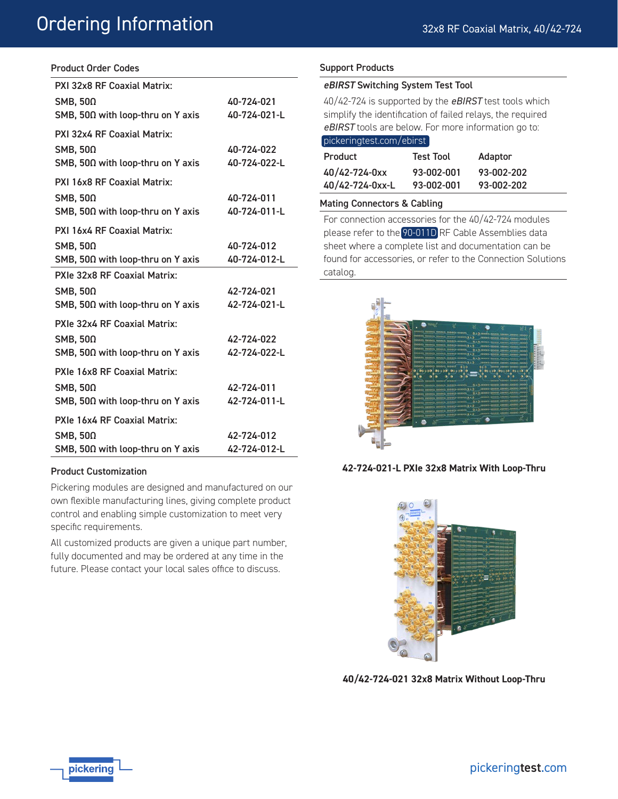# Ordering Information

# Product Order Codes

| PXI 32x8 RF Coaxial Matrix:                  |              |
|----------------------------------------------|--------------|
| SMB, $50\Omega$                              | 40-724-021   |
| SMB, 50Ω with loop-thru on Y axis            | 40-724-021-L |
| PXI 32x4 RF Coaxial Matrix:                  |              |
| SMB, $50\Omega$                              | 40-724-022   |
| SMB, $50\Omega$ with loop-thru on Y axis     | 40-724-022-L |
| PXI 16x8 RF Coaxial Matrix:                  |              |
| SMB, $50\Omega$                              | 40-724-011   |
| SMB, 50Ω with loop-thru on Y axis            | 40-724-011-L |
| PXI 16x4 RF Coaxial Matrix:                  |              |
| SMB, $50\Omega$                              | 40-724-012   |
| SMB, 50Ω with loop-thru on Y axis            | 40-724-012-L |
| PXIe 32x8 RF Coaxial Matrix:                 |              |
| SMB, $50\Omega$                              | 42-724-021   |
| SMB, 50 $\Omega$ with loop-thru on Y axis    | 42-724-021-L |
| PXIe 32x4 RF Coaxial Matrix:                 |              |
| SMB, $50\Omega$                              | 42-724-022   |
| $SMB$ , 50 $\Omega$ with loop-thru on Y axis | 42-724-022-L |
| PXIe 16x8 RF Coaxial Matrix:                 |              |
| SMB, $50\Omega$                              | 42-724-011   |
| SMB, $50\Omega$ with loop-thru on Y axis     | 42-724-011-L |
| PXIe 16x4 RF Coaxial Matrix:                 |              |
| SMB, $50\Omega$                              | 42-724-012   |
| SMB, 50Ω with loop-thru on Y axis            | 42-724-012-L |

## Product Customization

Pickering modules are designed and manufactured on our own flexible manufacturing lines, giving complete product control and enabling simple customization to meet very specific requirements.

All customized products are given a unique part number, fully documented and may be ordered at any time in the future. Please contact your local sales office to discuss.

### Support Products

#### eBIRST Switching System Test Tool

40/42-724 is supported by the *eBIRST* test tools which simplify the identification of failed relays, the required *eBIRST* tools are below. For more information go to:

| pickeringtest.com/ebirst |                  |            |  |
|--------------------------|------------------|------------|--|
| Product                  | <b>Test Tool</b> | Adaptor    |  |
| 40/42-724-0xx            | 93-002-001       | 93-002-202 |  |
| 40/42-724-0xx-L          | 93-002-001       | 93-002-202 |  |

#### Mating Connectors & Cabling

For connection accessories for the 40/42-724 modules please refer to the [90-011D](http://www.pickeringtest.com/content/downloads/datasheets/90-011D.pdf) RF Cable Assemblies data sheet where a complete list and documentation can be found for accessories, or refer to the Connection Solutions catalog.



**42-724-021-L PXIe 32x8 Matrix With Loop-Thru**



**40/42-724-021 32x8 Matrix Without Loop-Thru**

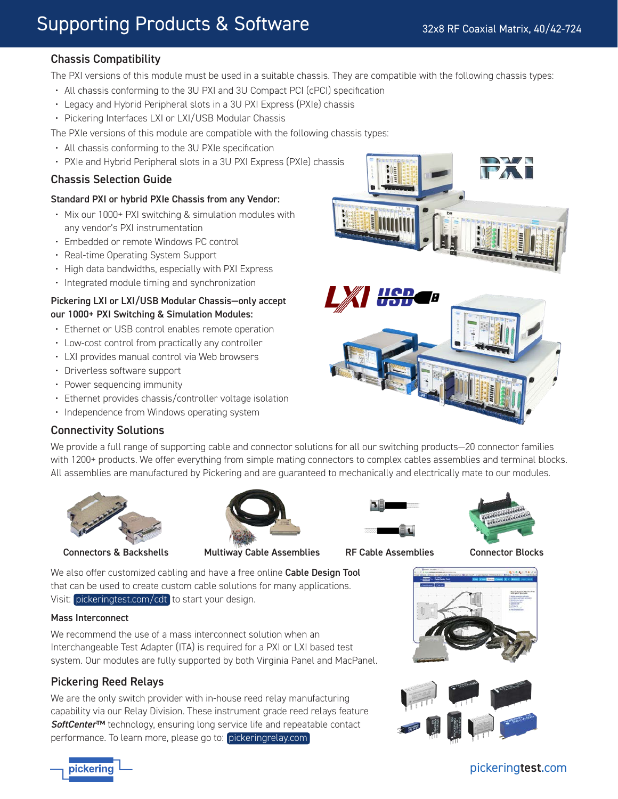# Supporting Products & Software

# Chassis Compatibility

The PXI versions of this module must be used in a suitable chassis. They are compatible with the following chassis types:

- All chassis conforming to the 3U PXI and 3U Compact PCI (cPCI) specification
- Legacy and Hybrid Peripheral slots in a 3U PXI Express (PXIe) chassis
- Pickering Interfaces LXI or LXI/USB Modular Chassis

The PXIe versions of this module are compatible with the following chassis types:

- All chassis conforming to the 3U PXIe specification
- PXIe and Hybrid Peripheral slots in a 3U PXI Express (PXIe) chassis

# Chassis Selection Guide

# Standard PXI or hybrid PXIe Chassis from any Vendor:

- Mix our 1000+ PXI switching & simulation modules with any vendor's PXI instrumentation
- Embedded or remote Windows PC control
- Real-time Operating System Support
- High data bandwidths, especially with PXI Express
- Integrated module timing and synchronization

# Pickering LXI or LXI/USB Modular Chassis—only accept our 1000+ PXI Switching & Simulation Modules:

- Ethernet or USB control enables remote operation
- Low-cost control from practically any controller
- LXI provides manual control via Web browsers
- Driverless software support
- Power sequencing immunity
- Ethernet provides chassis/controller voltage isolation
- Independence from Windows operating system

# Connectivity Solutions

We provide a full range of supporting cable and connector solutions for all our switching products—20 connector families with 1200+ products. We offer everything from simple mating connectors to complex cables assemblies and terminal blocks. All assemblies are manufactured by Pickering and are guaranteed to mechanically and electrically mate to our modules.





Connectors & Backshells Multiway Cable Assemblies RF Cable Assemblies Connector Blocks



**UCD** 



We also offer customized cabling and have a free online Cable Design Tool that can be used to create custom cable solutions for many applications. Visit: [pickeringtest.com/cdt](http://www.pickeringtest.com/cdt) to start your design.

## Mass Interconnect

We recommend the use of a mass interconnect solution when an Interchangeable Test Adapter (ITA) is required for a PXI or LXI based test system. Our modules are fully supported by both Virginia Panel and MacPanel.

# Pickering Reed Relays

We are the only switch provider with in-house reed relay manufacturing capability via our Relay Division. These instrument grade reed relays feature *SoftCenter*™ technology, ensuring long service life and repeatable contact performance. To learn more, please go to: [pickeringrelay.com](http://www.pickeringrelay.com)